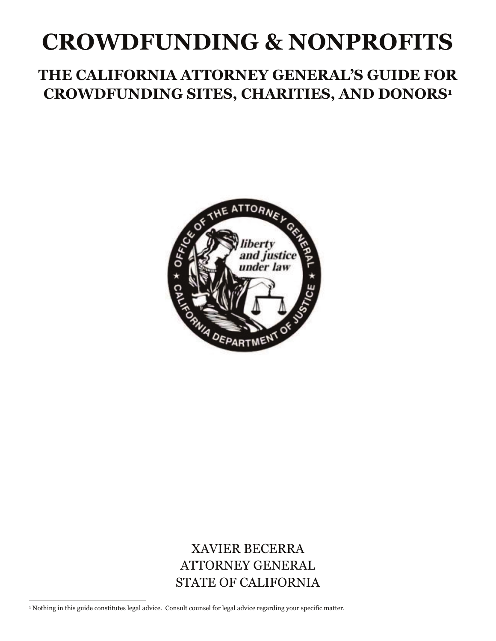# **CROWDFUNDING & NONPROFITS**

# **THE CALIFORNIA ATTORNEY GENERAL'S GUIDE FOR CROWDFUNDING SITES, CHARITIES, AND DONORS1**



**XAVIER BECERRA**  STATE OF CALIFORNIA ATTORNEY GENERAL

 $\overline{\phantom{a}}$ 1 Nothing in this guide constitutes legal advice. Consult counsel for legal advice regarding your specific matter.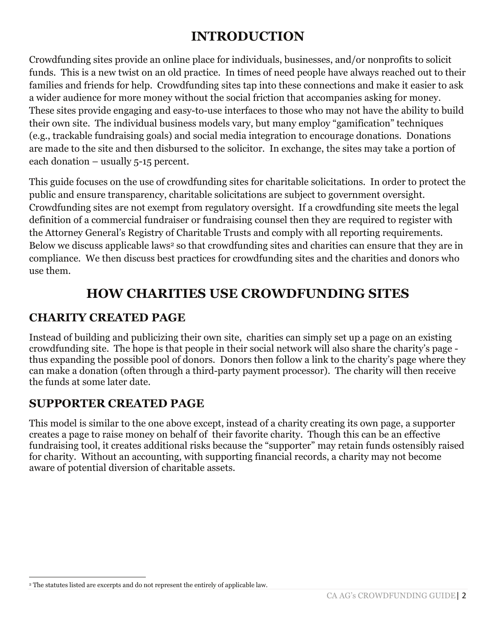# **INTRODUCTION**

 funds. This is a new twist on an old practice. In times of need people have always reached out to their families and friends for help. Crowdfunding sites tap into these connections and make it easier to ask a wider audience for more money without the social friction that accompanies asking for money. These sites provide engaging and easy-to-use interfaces to those who may not have the ability to build their own site. The individual business models vary, but many employ "gamification" techniques each donation – usually 5-15 percent. Crowdfunding sites provide an online place for individuals, businesses, and/or nonprofits to solicit (e.g., trackable fundraising goals) and social media integration to encourage donations. Donations are made to the site and then disbursed to the solicitor. In exchange, the sites may take a portion of

This guide focuses on the use of crowdfunding sites for charitable solicitations. In order to protect the public and ensure transparency, charitable solicitations are subject to government oversight. Crowdfunding sites are not exempt from regulatory oversight. If a crowdfunding site meets the legal definition of a commercial fundraiser or fundraising counsel then they are required to register with the Attorney General's Registry of Charitable Trusts and comply with all reporting requirements. Below we discuss applicable laws<sup>2</sup> so that crowdfunding sites and charities can ensure that they are in compliance. We then discuss best practices for crowdfunding sites and the charities and donors who use them.

# **HOW CHARITIES USE CROWDFUNDING SITES**

## **CHARITY CREATED PAGE**

Instead of building and publicizing their own site, charities can simply set up a page on an existing crowdfunding site. The hope is that people in their social network will also share the charity's page thus expanding the possible pool of donors. Donors then follow a link to the charity's page where they can make a donation (often through a third-party payment processor). The charity will then receive the funds at some later date.

## **SUPPORTER CREATED PAGE**

 fundraising tool, it creates additional risks because the "supporter" may retain funds ostensibly raised for charity. Without an accounting, with supporting financial records, a charity may not become This model is similar to the one above except, instead of a charity creating its own page, a supporter creates a page to raise money on behalf of their favorite charity. Though this can be an effective aware of potential diversion of charitable assets.

l 2 The statutes listed are excerpts and do not represent the entirely of applicable law.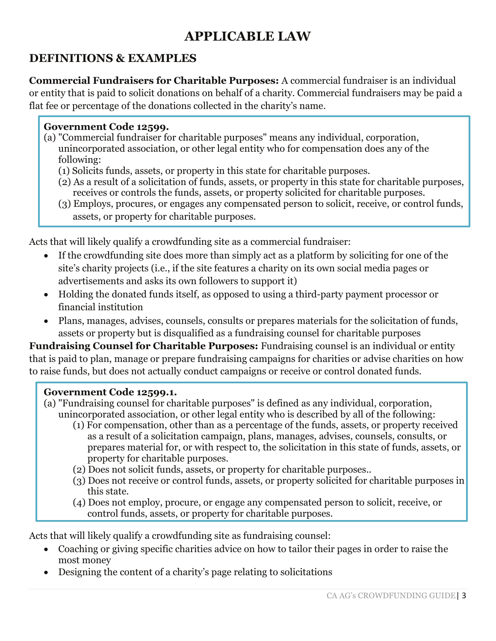# **APPLICABLE LAW**

# **DEFINITIONS & EXAMPLES**

 **Commercial Fundraisers for Charitable Purposes:** A commercial fundraiser is an individual or entity that is paid to solicit donations on behalf of a charity. Commercial fundraisers may be paid a flat fee or percentage of the donations collected in the charity's name.

#### **Government Code 12599.**

- (a) "Commercial fundraiser for charitable purposes" means any individual, corporation, unincorporated association, or other legal entity who for compensation does any of the following:
	- (1) Solicits funds, assets, or property in this state for charitable purposes.
	- (2) As a result of a solicitation of funds, assets, or property in this state for charitable purposes, receives or controls the funds, assets, or property solicited for charitable purposes.
	- (3) Employs, procures, or engages any compensated person to solicit, receive, or control funds, assets, or property for charitable purposes.

Acts that will likely qualify a crowdfunding site as a commercial fundraiser:

- If the crowdfunding site does more than simply act as a platform by soliciting for one of the site's charity projects (i.e., if the site features a charity on its own social media pages or advertisements and asks its own followers to support it)
- Holding the donated funds itself, as opposed to using a third-party payment processor or financial institution
- Plans, manages, advises, counsels, consults or prepares materials for the solicitation of funds, assets or property but is disqualified as a fundraising counsel for charitable purposes

**Fundraising Counsel for Charitable Purposes:** Fundraising counsel is an individual or entity that is paid to plan, manage or prepare fundraising campaigns for charities or advise charities on how to raise funds, but does not actually conduct campaigns or receive or control donated funds.

#### **Government Code 12599.1.**

- (a) "Fundraising counsel for charitable purposes" is defined as any individual, corporation, unincorporated association, or other legal entity who is described by all of the following:
	- (1) For compensation, other than as a percentage of the funds, assets, or property received as a result of a solicitation campaign, plans, manages, advises, counsels, consults, or prepares material for, or with respect to, the solicitation in this state of funds, assets, or property for charitable purposes.
	- (2) Does not solicit funds, assets, or property for charitable purposes..
	- (3) Does not receive or control funds, assets, or property solicited for charitable purposes in this state.
	- (4) Does not employ, procure, or engage any compensated person to solicit, receive, or control funds, assets, or property for charitable purposes.

Acts that will likely qualify a crowdfunding site as fundraising counsel:

- Coaching or giving specific charities advice on how to tailor their pages in order to raise the most money
- Designing the content of a charity's page relating to solicitations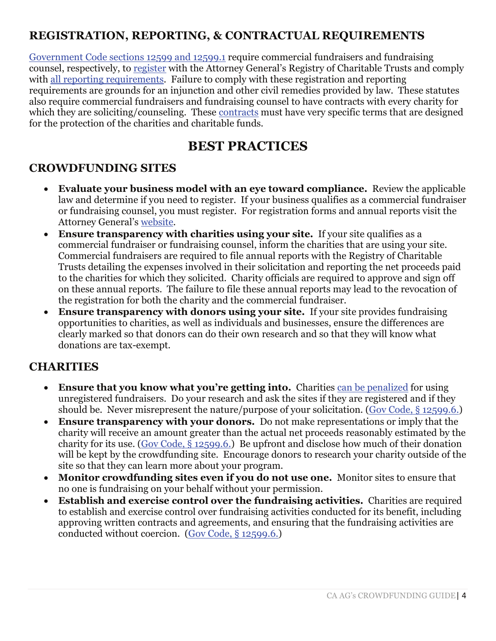# **REGISTRATION, REPORTING, & CONTRACTUAL REQUIREMENTS**

Government Code sections 12599 and 12599.1 require commercial fundraisers and fundraising counsel, respectively, to register with the Attorney General's Registry of Charitable Trusts and comply with all reporting requirements. Failure to comply with these registration and reporting requirements are grounds for an injunction and other civil remedies provided by law. These statutes also require commercial fundraisers and fundraising counsel to have contracts with every charity for which they are soliciting/counseling. These contracts must have very specific terms that are designed for the protection of the charities and charitable funds.

# **BEST PRACTICES**

### **CROWDFUNDING SITES**

- **Evaluate your business model with an eye toward compliance.** Review the applicable law and determine if you need to register. If your business qualifies as a commercial fundraiser or fundraising counsel, you must register. For registration forms and annual reports visit the Attorney General's website.
- **Ensure transparency with charities using your site.** If your site qualifies as a commercial fundraiser or fundraising counsel, inform the charities that are using your site. Commercial fundraisers are required to file annual reports with the Registry of Charitable Trusts detailing the expenses involved in their solicitation and reporting the net proceeds paid to the charities for which they solicited. Charity officials are required to approve and sign off on these annual reports. The failure to file these annual reports may lead to the revocation of the registration for both the charity and the commercial fundraiser.
- **Ensure transparency with donors using your site.** If your site provides fundraising opportunities to charities, as well as individuals and businesses, ensure the differences are clearly marked so that donors can do their own research and so that they will know what donations are tax-exempt.

#### **CHARITIES**

- **Ensure that you know what you're getting into.** Charities can be penalized for using unregistered fundraisers. Do your research and ask the sites if they are registered and if they should be. Never misrepresent the nature/purpose of your solicitation. (Gov Code, § 12599.6.)
- **Ensure transparency with your donors.** Do not make representations or imply that the charity will receive an amount greater than the actual net proceeds reasonably estimated by the charity for its use. (Gov Code, § 12599.6.) Be upfront and disclose how much of their donation will be kept by the crowdfunding site. Encourage donors to research your charity outside of the site so that they can learn more about your program.
- **Monitor crowdfunding sites even if you do not use one.** Monitor sites to ensure that no one is fundraising on your behalf without your permission.
- **Establish and exercise control over the fundraising activities.** Charities are required to establish and exercise control over fundraising activities conducted for its benefit, including approving written contracts and agreements, and ensuring that the fundraising activities are conducted without coercion. (Gov Code, § 12599.6.)